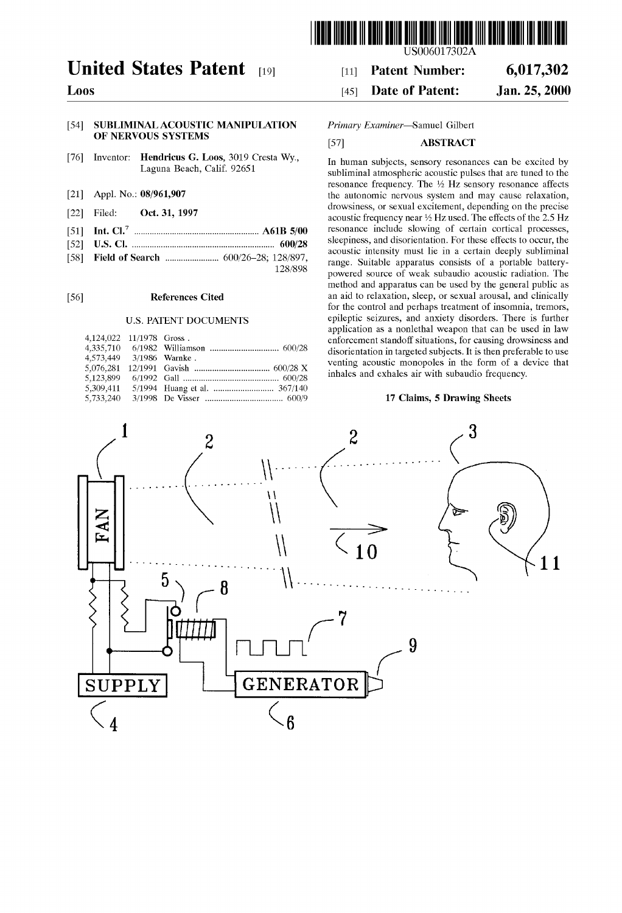

# United States Patent [19] 11 Patent Number: 6,017,302

## L00S (45) Date of Patent: Jan. 25, 2000

# [54] SUBLIMINAL ACOUSTIC MANIPULATION Primary Examiner-Samuel Gilbert OF NERVOUS SYSTEMS [57] ABSTRACT

- [76] Inventor: **Hendricus G. Loos, 3019 Cresta Wy.,** In human subjects, sensory resonances can be excited by Laguna Beach, Calif. 92651 cubiiminal atmospheric acquationalists that are tuned to the
- 
- 
- 
- 
- -rry
	-

### U.S. PATENT DOCUMENTS

| $4.124.022$ $11/1978$ Gross. |  |
|------------------------------|--|
| 4,335,710                    |  |
| 4,573,449 3/1986 Warnke.     |  |
| 5.076.281                    |  |
| 5,123,899                    |  |
| 5,309,411                    |  |
| 5,733,240                    |  |

subliminal atmospheric acoustic pulses that are tuned to the resonance frequency. The  $\frac{1}{2}$  Hz sensory resonance affects 21] Appl. No.: 08/961,907 the autonomic nervous system and may cause relaxation,<br>drowsiness, or sexual excitement, depending on the precise [22] Filed: **Oct. 31, 1997** acoustic frequency near  $\frac{1}{2}$  Hz used. The effects of the 2.5 Hz acoustic frequency near  $\frac{1}{2}$  Hz used. The effects of the 2.5 Hz used. The effects of the 2.5 Hz used. The effects of th (51) Int. Cl. .................................................. A61B 500 resonance include slowing of certain cortical processes, 52 U.S. CI 600/28 Sleepiness, and disorientation. For these effects to occur, the acoustic intensity must lie in a certain deeply Subliminal 58 Field of Search ........................ 600/26–28; 's range. Suitable apparatus consists of a portable battery powered source of weak subaudio acoustic radiation. The method and apparatus can be used by the general public as [56] **References Cited** an aid to relaxation, sleep, or sexual arousal, and clinically for the control and perhaps treatment of insomnia, tremors, epileptic Seizures, and anxiety disorders. There is further application as a nonlethal weapon that can be used in law enforcement standoff situations, for causing drowsiness and disorientation in targeted Subjects. It is then preferable to use venting acoustic monopoles in the form of a device that inhales and exhales air with Subaudio frequency.

#### 17 Claims, 5 Drawing Sheets

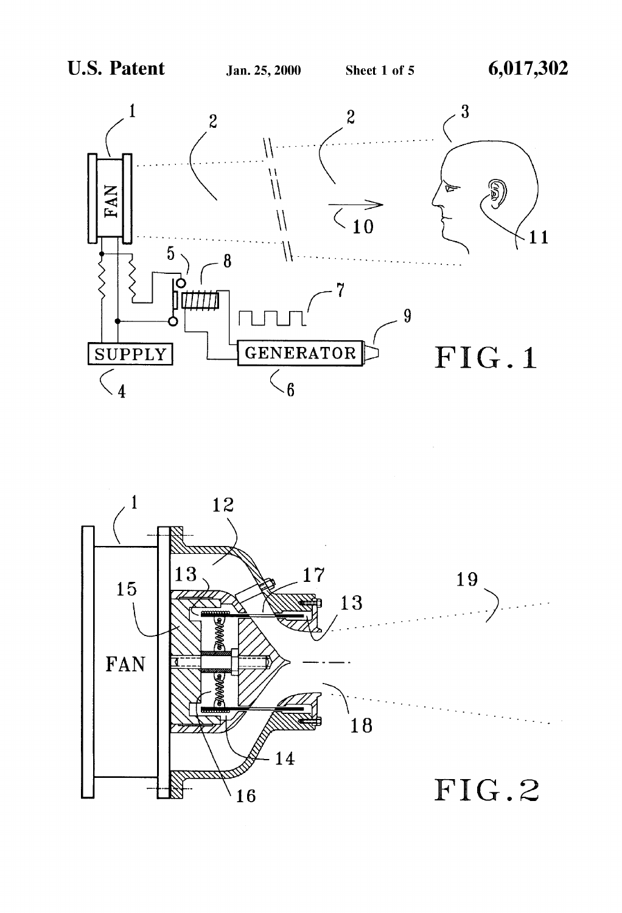

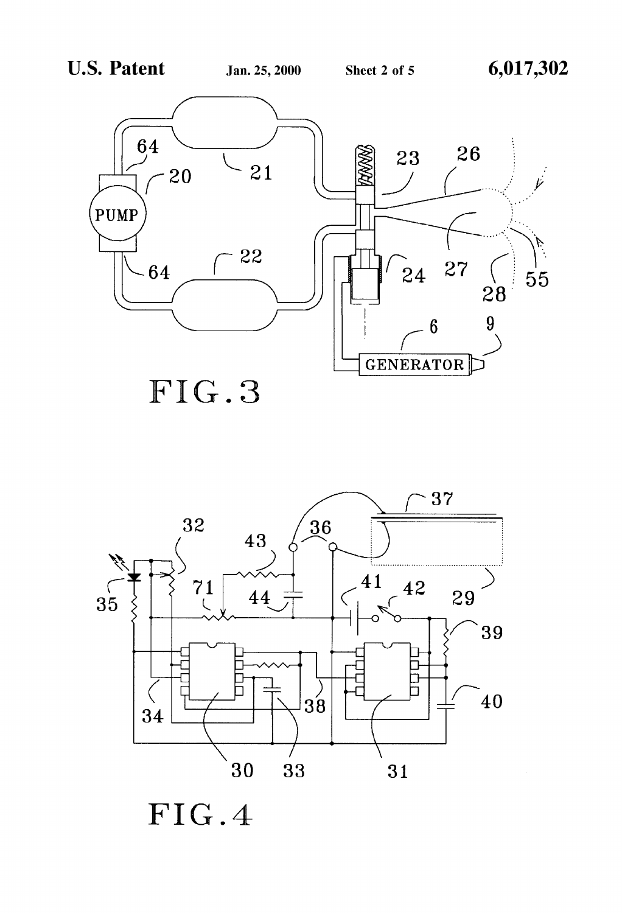



FIG.4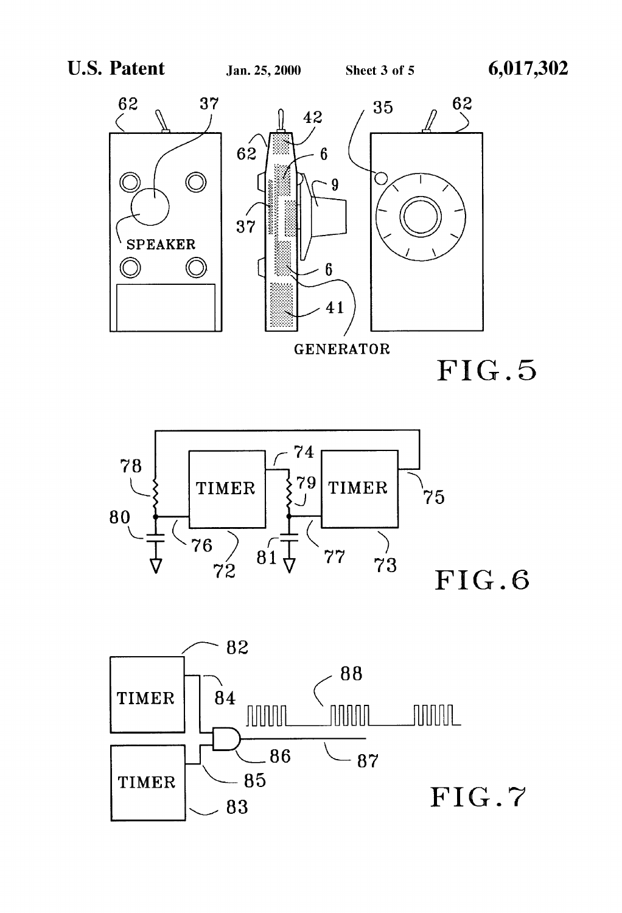





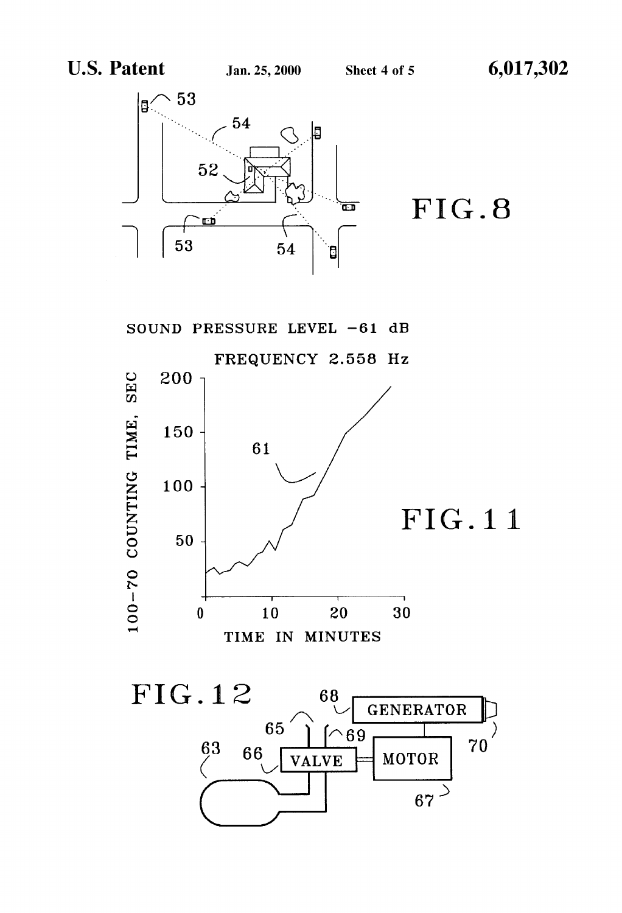

SOUND PRESSURE LEVEL  $-61$  dB



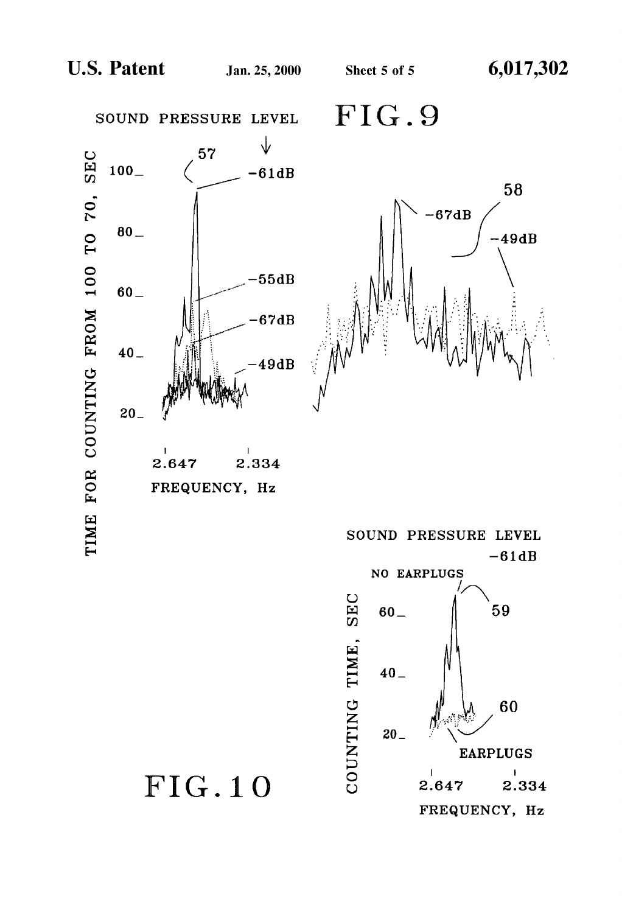SOUND PRESSURE LEVEL ↓ 57 **SEC**  $100$  $-61dB$ TIME FOR COUNTING FROM 100 TO 70,  $80 55dB$  $60-$ 67dB  $40-$ 49dB  $20-$ 2.334 2.647 FREQUENCY, Hz SOUND PRESSURE LEVEL

FIG.9



 $-61dB$ **NO EARPLUGS SEC** 59  $60-$ COUNTING TIME,  $40-$ 60  $20-$ **EARPLUGS**  $\mathsf I$ 2.647 2.334

 $FIG.10$ 

FREQUENCY, Hz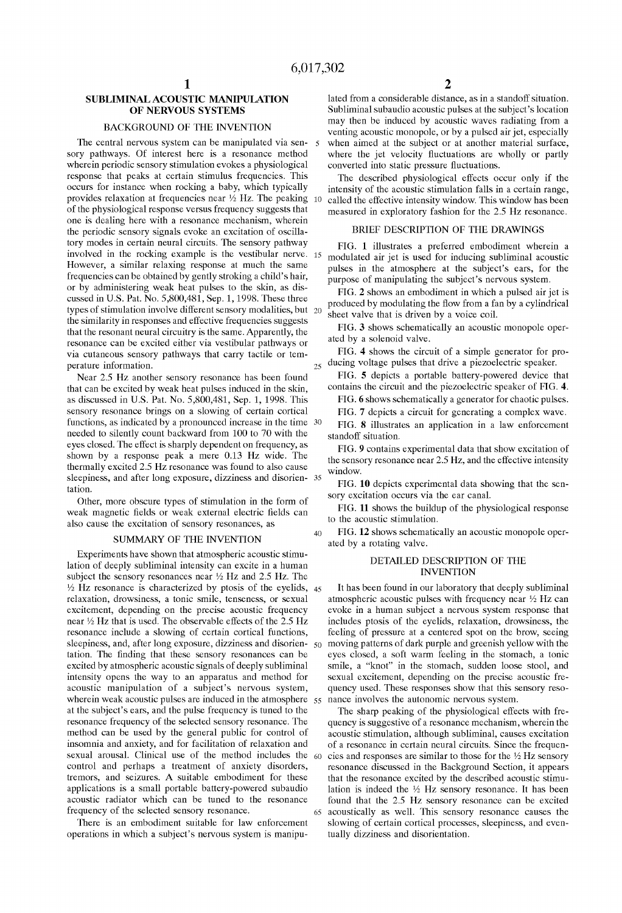### SUBLIMINALACOUSTIC MANIPULATION OF NERVOUS SYSTEMS

#### BACKGROUND OF THE INVENTION

The central nervous system can be manipulated via sensory pathways. Of interest here is a resonance method wherein periodic sensory stimulation evokes a physiological response that peaks at certain stimulus frequencies. This occurs for instance when rocking a baby, which typically provides relaxation at frequencies near  $\frac{1}{2}$  Hz. The peaking 10 of the physiological response versus frequency suggests that one is dealing here with a resonance mechanism, wherein the periodic sensory signals evoke an excitation of oscillatory modes in certain neural circuits. The sensory pathway involved in the rocking example is the Vestibular nerve. 15 However, a similar relaxing response at much the same frequencies can be obtained by gently stroking a child's hair, or by administering weak heat pulses to the Skin, as dis cussed in U.S. Pat. No. 5,800,481, Sep. 1, 1998. These three types of stimulation involve different sensory modalities, but 20 the Similarity in responses and effective frequencies Suggests that the resonant neural circuitry is the Same. Apparently, the resonance can be excited either via vestibular pathways or via cutaneous Sensory pathways that carry tactile or tem perature information.

Near 2.5 Hz another sensory resonance has been found that can be excited by weak heat pulses induced in the skin, as discussed in U.S. Pat. No. 5,800,481, Sep. 1, 1998. This sensory resonance brings on a slowing of certain cortical functions, as indicated by a pronounced increase in the time 30 needed to silently count backward from 100 to 70 with the eyes closed. The effect is sharply dependent on frequency, as shown by a response peak a mere 0.13 Hz wide. The thermally excited 2.5 HZ resonance was found to also cause sleepiness, and after long exposure, dizziness and disorien-35 tation.

Other, more obscure types of stimulation in the form of weak magnetic fields or weak external electric fields can also cause the excitation of Sensory resonances, as

#### SUMMARY OF THE INVENTION

Experiments have shown that atmospheric acoustic stimulation of deeply subliminal intensity can excite in a human subject the sensory resonances near  $\frac{1}{2}$  Hz and 2.5 Hz. The  $\frac{1}{2}$  Hz resonance is characterized by ptosis of the eyelids, 45 relaxation, drowsiness, a tonic smile, tenseness, or sexual excitement, depending on the precise acoustic frequency near  $\frac{1}{2}$  Hz that is used. The observable effects of the 2.5 Hz resonance include a slowing of certain cortical functions, sleepiness, and, after long exposure, dizziness and disorien- 50 tation. The finding that these sensory resonances can be excited by atmospheric acoustic signals of deeply subliminal intensity opens the way to an apparatus and method for acoustic manipulation of a subject's nervous system, wherein weak acoustic pulses are induced in the atmosphere  $55$ at the Subject's ears, and the pulse frequency is tuned to the resonance frequency of the selected sensory resonance. The method can be used by the general public for control of insomnia and anxiety, and for facilitation of relaxation and Sexual arousal. Clinical use of the method includes the control and perhaps a treatment of anxiety disorders, tremors, and Seizures. A Suitable embodiment for these applications is a Small portable battery-powered Subaudio acoustic radiator which can be tuned to the resonance frequency of the selected sensory resonance. 60 65

There is an embodiment suitable for law enforcement operations in which a Subject's nervous System is manipu

lated from a considerable distance, as in a standoff situation. Subliminal subaudio acoustic pulses at the subject's location may then be induced by acoustic waves radiating from a venting acoustic monopole, or by a pulsed air jet, especially when aimed at the subject or at another material surface, where the jet velocity fluctuations are wholly or partly converted into static pressure fluctuations.

The described physiological effects occur only if the intensity of the acoustic stimulation falls in a certain range. called the effective intensity window. This window has been measured in exploratory fashion for the 2.5 Hz resonance.

#### BRIEF DESCRIPTION OF THE DRAWINGS

FIG. 1 illustrates a preferred embodiment wherein a modulated air jet is used for inducing subliminal acoustic pulses in the atmosphere at the Subject's ears, for the purpose of manipulating the subject's nervous system.

FIG. 2 shows an embodiment in which a pulsed air jet is produced by modulating the flow from a fan by a cylindrical sheet valve that is driven by a voice coil.

FIG. 3 shows schematically an acoustic monopole operated by a solenoid valve.<br>FIG. 4 shows the circuit of a simple generator for pro-

FIG. 4 shows the circuit of a simple generator for pro-<br> $25$  ducing voltage pulses that drive a piezoelectric speaker.

FIG. 5 depicts a portable battery-powered device that contains the circuit and the piezoelectric speaker of FIG. 4.

FIG. 6 shows schematically a generator for chaotic pulses.

FIG. 7 depicts a circuit for generating a complex wave.

FIG. 8 illustrates an application in a law enforcement standoff situation.

FIG. 9 contains experimental data that show excitation of the Sensory resonance near 2.5 Hz, and the effective intensity window.

FIG. 10 depicts experimental data showing that the sen Sory excitation occurs via the ear canal.

FIG. 11 shows the buildup of the physiological response to the acoustic stimulation.

40 FIG. 12 shows schematically an acoustic monopole operated by a rotating valve.

### DETAILED DESCRIPTION OF THE INVENTION

It has been found in our laboratory that deeply subliminal atmospheric acoustic pulses with frequency near  $\frac{1}{2}$  Hz can evoke in a human subject a nervous system response that includes ptosis of the eyelids, relaxation, drowsiness, the moving patterns of dark purple and greenish yellow with the eyes closed, a Soft warm feeling in the Stomach, a tonic smile, a "knot" in the stomach, sudden loose stool, and sexual excitement, depending on the precise acoustic frequency used. These responses show that this sensory resonance involves the autonomic nervous System.

The sharp peaking of the physiological effects with fre quency is Suggestive of a resonance mechanism, wherein the acoustic stimulation, although subliminal, causes excitation of a resonance in certain neural circuits. Since the frequencies and responses are similar to those for the  $\frac{1}{2}$  Hz sensory resonance discussed in the Background Section, it appears that the resonance excited by the described acoustic stimulation is indeed the  $\frac{1}{2}$  Hz sensory resonance. It has been found that the 2.5 Hz sensory resonance can be excited acoustically as well. This sensory resonance causes the slowing of certain cortical processes, sleepiness, and eventually dizziness and disorientation.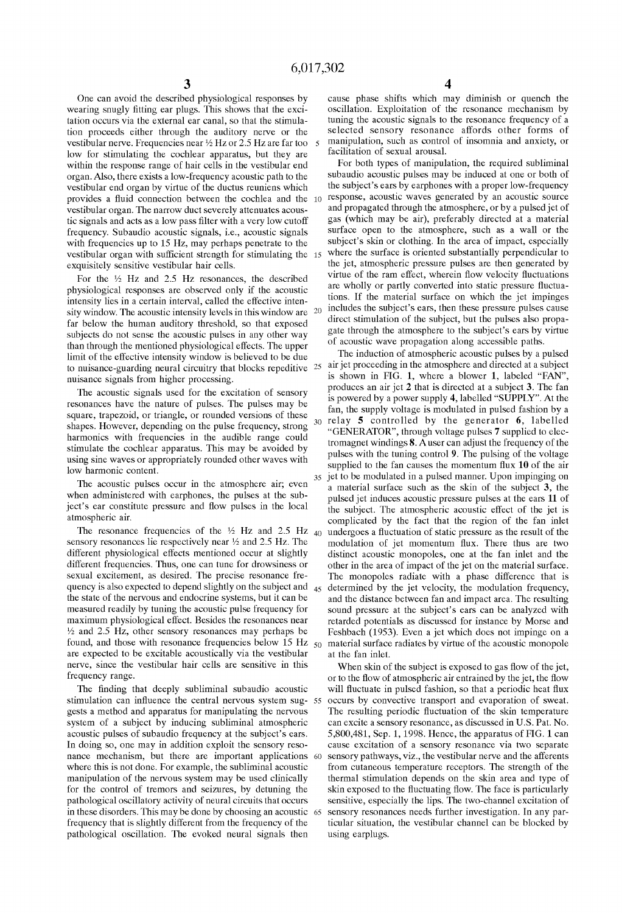30

35

One can avoid the described physiological responses by wearing snugly fitting ear plugs. This shows that the excitation occurs via the external ear canal, so that the stimulation proceeds either through the auditory nerve or the vestibular nerve. Frequencies near 1/2 Hz or 2.5 Hz are far too low for stimulating the cochlear apparatus, but they are within the response range of hair cells in the vestibular end organ. Also, there exists a low-frequency acoustic path to the vestibular end organ by virtue of the ductus reuniens which provides a fluid connection between the cochlea and the 10 vestibular organ. The narrow duct severely attenuates acoustic signals and acts as a low pass filter with a very low cutoff frequency. Subaudio acoustic signals, i.e., acoustic signals with frequencies up to 15 Hz, may perhaps penetrate to the vestibular organ with sufficient strength for stimulating the 15 exquisitely sensitive vestibular hair cells.

For the  $\frac{1}{2}$  Hz and 2.5 Hz resonances, the described physiological responses are observed only if the acoustic intensity lies in a certain interval, called the effective intensity window. The acoustic intensity levels in this window are  $20$ far below the human auditory threshold, so that exposed subjects do not sense the acoustic pulses in any other way than through the mentioned physiological effects. The upper limit of the effective intensity window is believed to be due to nuisance-guarding neural circuitry that blocks repeditive  $25$ nuisance signals from higher processing.

The acoustic signals used for the excitation of sensory resonances have the nature of pulses. The pulses may be square, trapezoid, or triangle, or rounded versions of these shapes. However, depending on the pulse frequency, strong harmonics with frequencies in the audible range could stimulate the cochlear apparatus. This may be avoided by using sine waves or appropriately rounded other waves with low harmonic content.

The acoustic pulses occur in the atmosphere air; even when administered with earphones, the pulses at the subject's ear constitute pressure and flow pulses in the local atmospheric air.

sensory resonances lie respectively near 1/2 and 2.5 Hz. The different physiological effects mentioned occur at slightly different frequencies. Thus, one can tune for drowsiness or sexual excitement, as desired. The precise resonance frequency is also expected to depend slightly on the subject and 45 determined by the jet velocity, the modulation frequency, the state of the nervous and endocrine systems, but it can be measured readily by tuning the acoustic pulse frequency for maximum physiological effect. Besides the resonances near  $\frac{1}{2}$  and 2.5 Hz, other sensory resonances may perhaps be found, and those with resonance frequencies below 15 Hz  $_{50}$ are expected to be excitable acoustically via the vestibular nerve, since the vestibular hair cells are sensitive in this frequency range.

The finding that deeply subliminal subaudio acoustic stimulation can influence the central nervous system sug- 55 gests a method and apparatus for manipulating the nervous system of a subject by inducing subliminal atmospheric acoustic pulses of subaudio frequency at the subject's ears. In doing so, one may in addition exploit the sensory resonance mechanism, but there are important applications 60 where this is not done. For example, the subliminal acoustic manipulation of the nervous system may be used clinically for the control of tremors and seizures, by detuning the pathological oscillatory activity of neural circuits that occurs in these disorders. This may be done by choosing an acoustic 65 frequency that is slightly different from the frequency of the pathological oscillation. The evoked neural signals then

cause phase shifts which may diminish or quench the oscillation. Exploitation of the resonance mechanism by tuning the acoustic signals to the resonance frequency of a selected sensory resonance affords other forms of manipulation, such as control of insomnia and anxiety, or facilitation of sexual arousal.

For both types of manipulation, the required subliminal subaudio acoustic pulses may be induced at one or both of the subject's ears by earphones with a proper low-frequency response, acoustic waves generated by an acoustic source and propagated through the atmosphere, or by a pulsed jet of gas (which may be air), preferably directed at a material surface open to the atmosphere, such as a wall or the subject's skin or clothing. In the area of impact, especially where the surface is oriented substantially perpendicular to the jet, atmospheric pressure pulses are then generated by virtue of the ram effect, wherein flow velocity fluctuations are wholly or partly converted into static pressure fluctuations. If the material surface on which the jet impinges includes the subject's ears, then these pressure pulses cause direct stimulation of the subject, but the pulses also propagate through the atmosphere to the subject's ears by virtue of acoustic wave propagation along accessible paths.

The induction of atmospheric acoustic pulses by a pulsed air jet proceeding in the atmosphere and directed at a subject is shown in FIG. 1, where a blower 1, labeled "FAN", produces an air jet 2 that is directed at a subject 3. The fan is powered by a power supply 4, labelled "SUPPLY". At the fan, the supply voltage is modulated in pulsed fashion by a relay 5 controlled by the generator 6, labelled "GENERATOR", through voltage pulses 7 supplied to electromagnet windings  $8$ . A user can adjust the frequency of the pulses with the tuning control 9. The pulsing of the voltage supplied to the fan causes the momentum flux 10 of the air jet to be modulated in a pulsed manner. Upon impinging on a material surface such as the skin of the subject 3, the pulsed jet induces acoustic pressure pulses at the ears 11 of the subject. The atmospheric acoustic effect of the jet is complicated by the fact that the region of the fan inlet The resonance frequencies of the  $\frac{1}{2}$  Hz and 2.5 Hz <sub>40</sub> undergoes a fluctuation of static pressure as the result of the modulation of jet momentum flux. There thus are two distinct acoustic monopoles, one at the fan inlet and the other in the area of impact of the jet on the material surface. The monopoles radiate with a phase difference that is and the distance between fan and impact area. The resulting sound pressure at the subject's ears can be analyzed with retarded potentials as discussed for instance by Morse and Feshbach (1953). Even a jet which does not impinge on a material surface radiates by virtue of the acoustic monopole at the fan inlet.

> When skin of the subject is exposed to gas flow of the jet, or to the flow of atmospheric air entrained by the jet, the flow will fluctuate in pulsed fashion, so that a periodic heat flux occurs by convective transport and evaporation of sweat. The resulting periodic fluctuation of the skin temperature can excite a sensory resonance, as discussed in U.S. Pat. No. 5,800,481, Sep. 1, 1998. Hence, the apparatus of FIG. 1 can cause excitation of a sensory resonance via two separate sensory pathways, viz., the vestibular nerve and the afferents from cutaneous temperature receptors. The strength of the thermal stimulation depends on the skin area and type of skin exposed to the fluctuating flow. The face is particularly sensitive, especially the lips. The two-channel excitation of sensory resonances needs further investigation. In any particular situation, the vestibular channel can be blocked by using earplugs.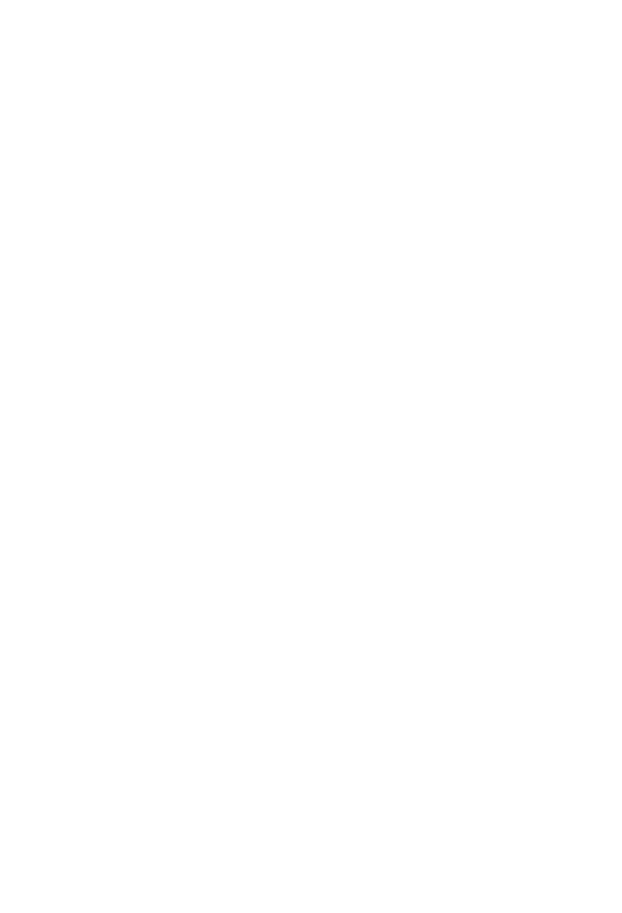$10<sup>10</sup>$ 

 $25$ 

An air jet with pulsed momentum flux can also be obtained as illustrated in FIG. 2. Shown is a fan 1, labelled "FAN", which discharges into manifold 12. The air flow in the manifold can be partially obstructed by a sheet valve 13 in the form of a perforated cylindrical sheet. The sheet valve carries a voice coil 14 which is situated in the field of a permanent magnet 15, in the manner of conventional electromagnetic loudspeakers. When no current flows through the voice coil, the sheet valve is held in equilibrium position by springs 16. In this position, the perforation 17 in the sheet is lined up with the flow passage allowing essentially unimpeded flow through the manifold and out the exit 18, such as to form a jet 19 in the atmosphere. Sending a current pulse through the voice coil 14 causes the sheet valve to be displayed in the axial direction, thereby partially obstructing the air flow through the manifold. Owing to the low inertia of the sheet valve, the arrangement allows efficient pulse modulation of the jet momentum flux.

A somewhat different modulation system can be obtained with a rotating cylindrical sheet valve that has one or more 20 holes along its periphery, and which is adjacent to a stationary cylindrical shroud that has corresponding holes, so that rotation of the valve causes modulation of the air flow through the holes. The valve is rotated by a stepper motor driven by voltage pulses. The latter are obtained from a generator that is controlled by a tuner.

One can also use direct acoustic wave propagation for inducing the required atmospheric acoustic pulses. It is then advantageous to employ as the source of the waves an acoustic monopole, since for these the acoustic pressure does not fall off as fast with increasing distance as for  $30<sub>2</sub>$ dipoles. Moreover, at the very low frequencies involved, acoustic pressure shorting across a conventional loudspeaker baffle is very severe. A sealed loudspeaker mounted in an airtight box eliminates this pressure shorting, and radiates acoustic waves with a relatively large monopole component.

An acoustic monopole may also be produced by having a source of pressurized gas vent through an orifice into the atmosphere in a pulsed fashion. The gas may be air. Alternatively, one may have a source of low-pressure air  $_{40}$ inhale atmospheric air through an orifice in pulsed fashion. These actions are easily achieved by an oscillating or rotating valve. For purposes of discussion it is convenient to introduce the concept of gaseous flux through the orifice, defined as the integral of the normal flow velocity compo-  $_{45}$  for compactness sake. Instead of the oscillating valve 23, a nent over an imagined surface that tightly caps the orifice, the normal component being perpendicular to the local surface element, and reckoned positive if the flow is directed into the ambient atmosphere. The gaseous flux has the dimension of  $m^3/s$ . For the case with a source of pressurized  $50$ gas, the gaseous flux is positive and due to gas venting to the atmosphere. For the case with a source of vacuum, the gaseous flux is negative and due to atmospheric air entering the orifice. The strength of the acoustic monopole is expressed as the amplitude of the gaseous flux fluctuation, 55 amplitude being defined as half the peak-to-peak variation. The concept of gaseous flux allows a unified discussion of venting acoustic monopoles that use a source of pressurized gas or a source of vacuum, or both.

The source of pressurized air could be a cylinder with 60 pressurized gas, such as a CO<sub>2</sub> cartridge. For personal use, such a cartridge may last a long time because only very small acoustic monopole strengths are needed for the induction of the required weak acoustic signals. For long term and long range operation, the exhaust port of an air pump may 65 serve as a source of pressurized air, and the intake port could be used as a source of vacuum.

6

A simple venting acoustic monopole is shown in FIG. 12, where the source 63 of pressurized gas, which may be air, is connected to a conduit 69 which has an orifice 65 that is open to the atmosphere. A rotating valve 66 labelled "VALVE" controls the gaseous flux through the orifice. The valve is rotated by a stepper motor 67 labelled "MOTOR" driven by voltage pulses from the generator 68 labelled "GENERATOR". The motor speed is determined by the frequency of the voltage pulses. This frequency can be selected by the tuner 70, which therefore controls the frequency of the acoustic pulses emited by the orifice 65. For the simple orifice shown, boundary layer separation may occur in the outflow, so that the air pulses emerge in the form of jets. This causes dipole and higher multipole components 15 in the radiated acoustic field. If desired, such radiation components can be avoided or diminished by placing a spherically or dome shaped fine mesh screen over the orifice 65. Instead of holding pressurized gas, the source 63 may hold a vacuum. In either case, the pulsing of the gaseous flux causes radiation of monopole-type acoustic waves. The source 63 may be replenished by a pump.

Push-pull operation can be achieved in the manner shown in FIG. 3. An air pump 20, labelled "PUMP", with flow ports 64, pressurizes the pressure vessel 21 while drawing a vacuum in the vacuum vessel 22. A valve 23 is operated by the solenoid 24 such as to alternately admit high and low pressure air to the conduit 26. The latter vents to the atmosphere through a screen 55 placed across an orifice 27 that is open to the atmosphere. The valve is controlled by an oscillator consisting of the solenoid 24, which is connected to the pulse generator 6, labelled "GENERATOR". The frequency of the electric current pulses through the solenoid is determined by the setting of the tuning control 9. This frequency is to be tuned to the resonance frequency of the 35 sensory resonance that is to be excited. The tuning may be done manually by a user. The conduit 26 is structured as a diffuser in order to avoid boundary layer separation during the exhaust phase; the screen across the orifice 27 inhibits formation of a jet, thereby providing more nearly for a monopole type acoustic wave. During the intake phase the orifice acts as a sink; streamlines 28 of the resulting flow are illustrated. The vessels 21 and 22 smooth the flow fluctuations through the orifice that are due to the flow fluctuations through the pump; they are drawn at a relatively small scale rotating valve may be used, driven by a stepper motor powered by voltage pulses from a generator.

Conventional loudspeakers may be used as well as the source of acoustic radiation. An example is shown in FIG. 4, where the piezoelectric transducer 37 is driven by a simple battery-powered pulse generator built around two RC timers 30 and 31. Timer 30 (Intersil ICM7555, for instance) is hooked up for astable operation; it produces a square wave voltage with a frequency determined by capacitor 33 and the potentiometer 32, which serves as a tuner that may be operated by a user. The square wave voltage at output 34 drives the LED 35, and appears at one of the output terminals 36, after voltage division by potentiometer 71. The other output is connected to the negative supply. The output terminals 36 are connected to the piezoelectric speaker. Automatic shutoff of the voltage that powers the timer 30 at point 38 is provided by a second timer 31, hooked up for monostable operation. Shutoff occurs after a time interval determined by resistor 39 and capacitor 40. Timer 31 is powered by a 9 Volt battery 41, via a switch 42. Optional rounding of the square wave is done by an RC circuit consisting of a resistor 43 and capacitor 44. An optional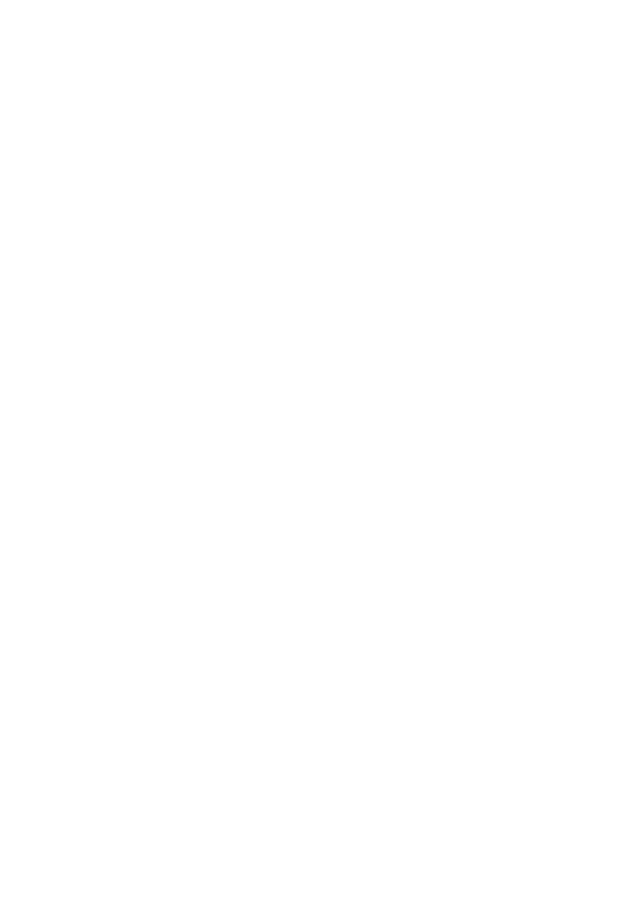$20\,$ 

35

 $40<sup>1</sup>$ 

airtight enclosure 29 may be used for the speaker 37, in order to enhance the monopole component of the radiated acoustic signal. Instead of a piezoelectric speaker one may use an electromagnetic loudspeaker with a voice coil. Because of the low impedance of the voice coil, a resistor must then be included in the output circuitry in order to keep the output currents to low values such as to allow battery powering of the device. Small voice coil currents are sufficient for the low acoustic powers required.

Low pulse frequencies can be monitored with the LED 35 10 of FIG. 3. The LED blinks on and off with the square wave, and it doubles as a power indicator. The pulse frequency can be determined by reading a clock and counting the LED light pulses. For higher frequencies a monitoring LED can still be used, if it is driven by a signal obtained by frequency 15 division of the generator signal.

The automatic shutoff described above is an example for automatic control of the generated voltage; more sophisticated forms of control involve automatic frequency sequences. A computer that runs a simple timing program can be used for the generation of all sorts of square waves that can be made available at a computer port. An economic and compact version of such arrangement is provided by the Basic Stamp manufactured by Parallax Inc, Rocklin, Calif., 25 which has an onboard EEPROM that can be programmed for the automatic control of the generated pulses, such as to provide desired on/off times, frequency schedules, or chaotic waves. The square waves can be rounded by RC circuits, and further smoothed by integration and filtering. 30

A compact packaging of the device such as shown of FIG. 4 is depicted in FIG. 5 where all circuit parts and the speaker, piezoelectric or voice-coil type, are contained in a small casing 62. Shown are the speaker 37, labelled "SPEAKER", driven by the generator 6, labeled "GENERATOR", with tuning control 9, LED 35, battery 41, and power switch 42. The LED doubles as a mark for the tuning control dial. With the circuit of FIG. 4, the device draws so little current that it can be used for several months as a sleeping aid, with a single 9 Volt battery.

For the purpose of thwarting habituation to the stimulation, irregular features may be introduced in the pulse train, such as small short-term variations of frequency of a chaotic or stochastic nature. Such chaotic or stochastic acoustic pulses can cause excitation of a sensory resonance, 45 provided that the average pulse frequency is close to the appropriate sensory resonance frequency. A chaotic square wave can be generated simply by cross coupling of two timers. FIG. 6 shows such a hookup, where timers 72 and 73, each labeled "TIMER", have their output pins 74 and 75 50 connected crosswise to each other's control voltage pins 76 and 77, via resistors 78 and 79. The control voltage pins 76 and 75 have capacitors 80 and 81 to ground. If the timers are hooked up for astable operation with slightly different frequencies, and appropriate values are chosen for the cou-  $55$ pling resistors and capacitors, the output of either timer is a chaotic square wave with an oval attractor. Example circuit parameters are: R<sub>78</sub>=440K $\Omega$ , R<sub>79</sub>=700K $\Omega$ , C<sub>80</sub>=4.7  $\mu$ F,  $C_{81}$ =4.7  $\mu$ F, with (RC)<sub>72</sub>=0.83 s and (RC)<sub>73</sub>=1.1 s. For these parameters, the output 74 of timer 72 is a chaotic square 60 wave with a power spectrum that has large peaks at 0.46 Hz and 0.59 Hz. The resulting chaotic wave is suitable for the excitation of the 1/2 Hz resonance.

A complex wave may be used for the joint excitation of two different sensory resonances. A simple generator of a 65 complex wave, suitable for the joint excitation of the  $\frac{1}{2}$  Hz autonomic resonance and the 2.5 Hz cortical resonance, is

shown in FIG. 7. Timers 82 and 83 are arranged to produce square waves of frequencies  $f_1$  and  $f_2$  respectively, where  $f_1$ is near 2.5 Hz, and  $f_2$  is near  $\frac{1}{2}$  Hz. The outputs 84 and 85 of the timers are connected to the inputs of an AND gate 86. The output 87 of the AND gate features a square wave of frequency f<sub>1</sub>, amplitude modulated by a square wave of frequency  $f_2$ , as indicated by the pulse train 88.

The very low frequency waves needed for the acoustic stimulation of the vestibular nerve may also be provided by a sound system in which weak subaudio pulses are added to audible audio program material. This may be done in the customary manner way of adding the currents from these signals at the inverting input of an operational amplifier. The amplitude of the pulses is chosen such that the strength of the resulting acoustic pulses lies in the effective intensity window. Experiments in our laboratory have shown that the presence of audible signals, such as music or speech, does not interfere with the excitation of sensory resonances.

The invention can also be implemented as a sound tape or CD ROM which contains audible audio program material together with subliminal subaudio signals. The recording can be done by mixing the audio and subaudio signals in the usual manner. In choosing the subaudio signal level, one must compensate for the poor frequency response of the recorder and the electronics, at the ultra low subaudio frequencies used.

The pathological oscillatory neural activity involved in epileptic seizures and Parkinson's disease is influenced by the chemical milieu of the neural circuitry involved. Since the excitation of a sensory resonance may cause a shift in chemical milieu, the pathological oscillatory activity may be influenced by the resonance. Therefore, the acoustic excitation discussed may be useful for control and perhaps treatment of tremors and seizures. Frequent use of such control may afford a treatment of the disorders by virtue of facilitation and classical conditioning.

In this as well as in the detuning method discussed before, an epileptic patient can switch on the acoustic stimulation upon sensing a seizure precursor.

Since the autonomic nervous system is influenced by the  $\frac{1}{2}$  sensory resonance, the acoustic excitation of the resonance may be used for the control and perhaps the treatment of anxiety disorders.

The invention can be embodied as a nonlethal weapon that remotely induces disorientation and other discomfort in targeted subjects. Large acoustic power can be obtained easily with acoustic monopoles of the type depicted in FIG. 3 or FIG. 12. If considerable distance needs to be maintained to the subject, as in a law enforcement standoff situation illustrated in FIG. 8, several monopoles can be used, and it then may become important to have phase differences between the acoustic signals of the individual monopoles arranged in such a manner as to maximize the amplitude of the resultant acoustic signal at the location 52 of the subject. Shown are four squad cars 53, each equiped with an acoustic monopole capable of generating atmospheric pulses of a frequency appropriate for the excitation of sensory resonances. The relative phases of the emitted pulses are arranged such as to compensate for differences of acoustic path lengths 54, such that the pulses arrive at the subject location 52 with substantially the same phase, resulting in constructive interference of the local acoustic waves. Such arrangement can be achieved easily by using radio signals between the monopole units, with the target distances either dialed in manually or measured automatically with a range finder. The subaudio acoustic signals can easily penetrate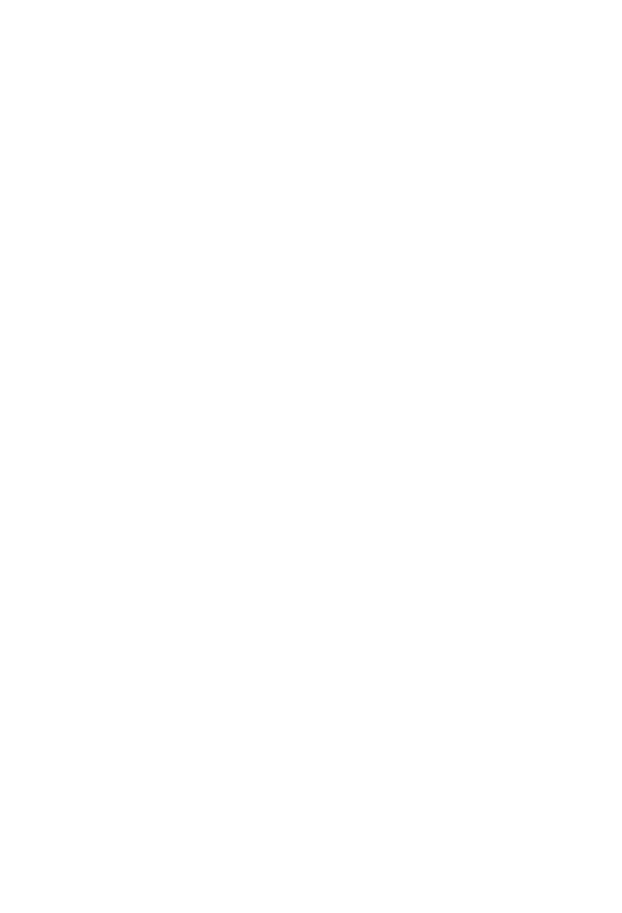into a house through an open window, a chimney, or a crack under a closed door.

Some of our experiments on acoustic excitation of sensory resonances which provide a basis for the present invention will be discussed presently. Of all the responses to the excitation of the  $\frac{1}{2}$  Hz resonance, prosis of the eyelids stands out for distinctness, ease of detection, and sensitivity. When voluntary control of the eyelids is relinquished, the eyelid position is determined by the relative activities of the sympathetic and parasympathetic nervous systems. There  $10<sup>10</sup>$ are two ways in which ptosis can be used as an indicator that the autonomic system is being affected. In the first, the subject simply relaxes the control over the eyelids, and makes no effort to correct for any drooping. The more sensitive second method requires the subject to first close the 15 eyes about half way. While holding this eyelid position, the eye are rolled upward, while giving up voluntary control of the eyelids. With the eyeballs turned up, ptosis will decrease the amount of light admitted to the eyes, and with full ptosis the light is completely cut off. The second method is very  $20$ sensitive because the pressure excerted on the eyeballs by partially closed eyelids increases parasympathetic activity. As a result, the evelid position becomes somewhat labile, exhibiting a slight flutter. The labile state is sensitive to small shifts in the activities of the sympathetic and parasympathetic systems. The method works best when the subject is lying flat on the back and is facing a moderately lit blank wall of light color.

The frequency at which ptosis is at a maximum is called the ptosis frequency. This frequency depends somewhat on the state of the nervous and endocrine systems, and it  $30<sup>°</sup>$ initially undergoes a downward drift, rapid at first and slowing over time. The ptosis frequency can be followed in its downward drift by manual frequency tracking aimed at keeping ptosis at a maximum. At a fixed frequency, the early ptosis can be maintained in approximately steady state by turning the acoustic stimulation off as soon as the ptosis starts to decrease, after which the ptosis goes through an increase followed by a decline. The acoustic stimulation is turned back on as soon as the decline is perceived, and the cycle is repeated.

At fixed frequencies near  $\frac{1}{2}$  Hz, the ptosis cycles slowly up and down with a period ranging upward from about 3 minutes, depending on the precise acoustic frequency used. The temporal behavior of the ptosis frequency is found to depend on the acoustic pulse intensity; the drift and cycle  $45$  the voice coil current and the pulse frequency. Since for the amplitude are smaller near the low end of the effective intensity window. This suggests that the drift and the cycling of the ptosis frequency is due to chemical modulation, wherein the chemical milieu of the neural circuits involved affects the resonance frequency of these circuits, while the  $50$ milieu itself is influenced by the resonance in delayed fashion. Pertinent concentrations are affected by production, diffusion, and reuptake of the substances involved. Because of the rather long characteristic time of the ptosis frequency shift, as shown for instance by the cycle period lasting  $3\,55$ minutes or longer, it is suspected that diffusion plays a rate-controlling role in the process.

The resonance frequencies for the different components of the 1/2 Hz sensory resonance have been measured, using acoustic sine waves with a sound pressure of  $2\times10^{-9}$  N/m<sup>2</sup> 60 at the subject's left ear. Ptosis reached a steady state at a frequency of 0.545 Hz. Sexual excitement occurred at two frequencies, 0.530 Hz and 0.597 Hz, respectively below and above the steady-state ptosis frequency. For frequencies of 0.480 Hz and 0.527 Hz the subject fell asleep, whereas 65 tenseness was experienced in the range from  $0.600$  to  $0.617$ Hz.

The resonance near 2.5 Hz may be detected as a pronounced increase in the time needed to silently count backward from 100 to 70, with the eves closed. The counting is done with the "silent voice" which involves motor activation of the larynx appropriate to the numbers to be uttered, but without passage of air or movement of mouth muscles. The motor activation causes a feedback in the form of a visceral stress sensation in the larvnx. Counting with the silent voice is different from merely thinking of the numbers, which does not produce a stress sensation, and is not a sensitive detector of the resonant state. The larvnx stress feedback constitutes a visceral input into the brain and may thus influence the amplitude of the resonance. This unwanted influence is kept to a minimum by using the count sparingly in experiment runs. Since counting is a cortical process, the 2.5 Hz resonance is called a cortical sensory resonance, in distinction with the autonomic resonance that occurs near  $\frac{1}{2}$  Hz. In addition to affecting the silent counting, the 2.5 Hz resonance is expected to influence other cortical processes as well. It has also been found to have a sleep inducing effect. Very long exposures cause dizziness and disorientation. The frequency of 2.5 Hz raises concerns about kindling of epileptic seizures; therefore, the general public should not use the 2.5 Hz resonance unless this concern has been laid to rest through further experiments.

The sensitivity and numerical nature of the silent count makes it a very suitable detector of the 2.5 Hz sensory resonance. It therefore has been used for experiments of frequency response and effective intensity window. In these experiments, rounded square wave acoustic pulses were produced with a frequency that was slowly diminished by computer, and the subject's 100–70 counting time was recorded for certain frequencies. The acoustic transducer was a small loudspeaker mounted in a sealed cabinet such as 35 to provide acoustic monopole radiation. At fixed frequency, the acoustic monopole strenght in  $m^3/s$  varies linearly with the voice coil current, with a constant of proportionality that can be calculated from measured speaker dome excursions for given currents. The sound pressure level at the entrance of the subject's nearest external ear canal can be expressed in terms of the acoustic monopole strength and the distance from the loudspeaker. For each experiment run, the sound pressure level at the entrance of the subject's external ear canal can thus be calculated from the measured amplitude of subaudio frequencies the distance from the acoustic radiator to the subject's ear is much smaller than the wavelength of the sound, the near-field approximation was used in this calculation. The sound pressure level was expressed in dB relative to the reference sound pressure of  $2 \times 10^{-5}$  N/m<sup>2</sup>. This reference pressure is traditionally used in the context of human hearing, and it represents about the normal minimum human hearing threshold at 1.8 KHz.

FIG. 9 shows the result of experiment runs at sound pressure levels of  $-67$ ,  $-61$ ,  $-55$ , and  $-49$  dB. Plotted are the subject's 100-70 counting time versus pulse frequency in a narrow range near 2.5 Hz. Resonance is evident from the sharp peak 57 in the graph for the sound pressure level of  $-61$  dB. The graphs also reveal the effective intensity window for the stimulation, as can be seen by comparing the magnitude of the peaks for the different sound pressure levels. For increasing intensity, the magnitude of the peak first increases but then decreases, and no significant peak shows up in the graph for the largest sound pressure of -49 dB; this can be seen better from the insert 58, which shows the graphs for  $-67$  and  $-49$  dB in a magnified scale. It follows that the effective intensity window extends approxi-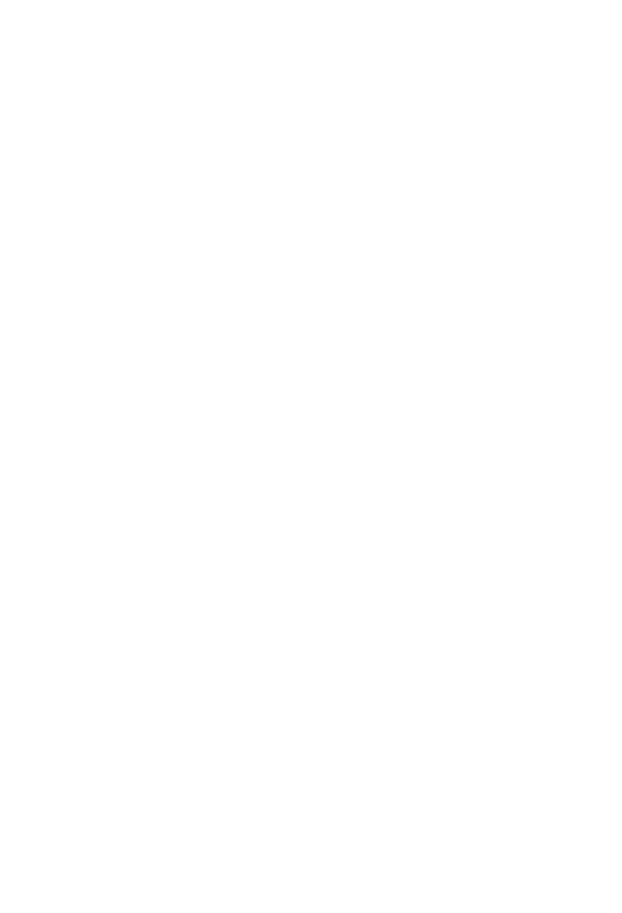$10$ 

15

20

 $25$ 

 $30$ 

mately from  $-73$  to  $-49$  dB, in terms of the sound pressure level at the entrance of the subject's external ear canal.

The physiological response to the 2.5 Hz acoustic stimulation can be avoided by wearing earplugs. FIG. 10 is a plot of the 100-70 counting time versus acoustic pulse frequency, with and without earplugs. The sound pressure level at the entrance of the subject's external ear canal was  $-6$  dB for both runs. Without earplugs the counting time has the peak 59, but no significant peak is seen in graph 60 for the run in which the subject used earplugs. Two conclusions can be reached from these results. First, in the experiments the 2.5 Hz resonance is essentially excited acoustically rather than through the magnetic field induced by the voice coil currents in the loudspeaker. Second, it follows that the exciting sound essentially propagates via the external ear canal, instead of through the skin and bones in the area of the ears, or via cutaneous mechanoreceptors in the skin at large.

To answer the question whether the acoustic excitation of the 2.5 Hz sensory resonance occurs perhaps through the cochlear nerve, one needs to consider the human auditory threshold curve such as shown, for instance, by Thomson (1967). The curve has a minimum near 1.8 KHz where the threshold sound pressure level is 0 dB, by definition. At 10 Hz the threshold is 105 dB. Hence, the pronounced acoustic excitation of the sensory resonance shown in FIG. 9 for a sound pressure level of -61 dB is 166 dB below the auditory threshold at 10 Hz. The excitation occurs near 2.5 Hz, and at that frequency, the auditory threshold is even higher than at 10 Hz. Although the curve in Thomson's book does not go below 10 Hz, linear extrapolation suggests the estimate of 135 dB for the threshold at 2.5 Hz, bringing the sound pressure level that is effective for acoustic excitation of the sensory resonance to 196 dB below the estimated threshold at the frequency near 2.5 Hz used. This result all but rules out excitation via the cochlear nerve.

Chemical modulation may be the cause for the small frequency difference for peaks 57 and 59 in FIGS. 9 and 10, for the sound pressure level of -61 dB; these peaks occur respectively at 2.516 and 2.553 Hz.

The physiological response to the excitation of the sen- $_{40}$ sory resonances at a fixed stimulus frequency is not immediate but builds over time. An example is shown in FIG. 11, where the graph  $61$  depicts the measured  $100-70$  time plotted versus elapsed time, upon application of acoustic pulses of 2.558 Hz frequency and a sound pressure level of  $_{45}$  $-61$  dB. The graph shows that the response is initially delayed over about 5 minutes; thereafter it increases, and at about 22 minutes the slope is seen to decrease somewhat. Other experiments have shown a counting time that eventually settles on a plateau, or even starts on a decline.  $50$ Chemical modulation and habituation could account for these features. The response curve depends strongly on initial conditions.

The method is expected to be effective also on certain animals, and applications to animal control are therefore 55 envisioned. The nervous system of mammals is similar to that of humans, so that the sensory resonances are expected to exist, albeit with different frequencies. Accordingly, in the present invention subjects are mammals.

The described method and apparatus can be used benefi- 60 cially by the general public and in clinical work. Unfortunately however, there is the possibility of mischievous use as well. For instance, with small modifications the method of FIG. 1 can be employed to imperceptibly modulate the air flow in air conditioning or heating systems that serve a 65 home, office building, or embassy, for covert manipulation of the nervous systems of occupants.

The invention is not limited by the embodiments shown in the drawings and described in the specification, which are given by way of example and not of limitation, but only in accordance with the scope of the appended claims.

#### **REFERENCES**

- P. M. Morse and H. Feshbach, METHODS OF THEORETI-CAL PHYSICS, McGraw-Hill, New York, 1953
- R. F. Thomson, FOUNDATIONS OF PHYSIOLOGICAL PSYCHOLOGY, Harper & Row, New York 1967 L claim:

1. Apparatus for manipulating the nervous system of a subject, the subject having an ear, comprising:

generator means for generating voltage pulses;

induction means, connected to the generator means and responsive to the voltage pulses, for inducing at the ear subliminal atmospheric acoustic pulses with a pulse frequency less than 15 Hz.

2. The apparatus according to claim 1, further comprising means for automatically controlling the voltage pulses.

3. The apparatus according to claim 1, further comprising means for monitoring the voltage pulses.

4. The apparatus according to claim 1, for exciting in the subject a sensory resonance that occurs at a resonance frequency less than 15 Hz, the apparatus further comprising tuning means for enabling a user to tune the pulse frequency to the resonance frequency.

5. The apparatus according to claim 4, further including a casing for containing the generator means, the induction means and the tuning means.

6. The apparatus according to claim 1, wherein said induction means comprise:

- means for generating in the atmosphere a gas jet, the latter having a momentum flux; and
- modulation means, connected to the generator means and responsive to said voltage pulses, for pulsing the momentum flux with a frequency less than 15 Hz;
- whereby subaudio acoustic pulses are induced in the atmosphere.

7. Apparatus for manipulating the nervous system of a subject, the subject having an ear, comprising:

- generator means for generating voltage pulses;
- a source of gas at a pressure different from the ambient atmospheric pressure;
- a conduit having an orifice open to the atmosphere for passing a gaseous flux;
- valve means, connected to the source of gas and the conduit to control the gaseous flux;
- means, connected to the generator means and responsive to said voltage pulses, for operating the valve means to provide an oscillation of the gaseous flux with a frequency less than 15 Hz.

8. The apparatus according to claim 7, further comprising vessel means for smoothing fluctuations of the gaseous flux caused by fluctuations in the pressure of the source of gas.

9. A method for manipulating the nervous system of a subject, the subject having an ear, comprising the steps of: generating voltage pulses; and

inducing, in a manner responsive to the voltage pulses, at the ear subliminal atmospheric acoustic pulses with a pulse frequency less than 15 Hz.

10. The method according to claim 9, for exciting in the subject a sensory resonance that occurs at a resonance frequency less than 15 Hz, further comprising the step of tuning the pulse frequency to the resonance frequency.